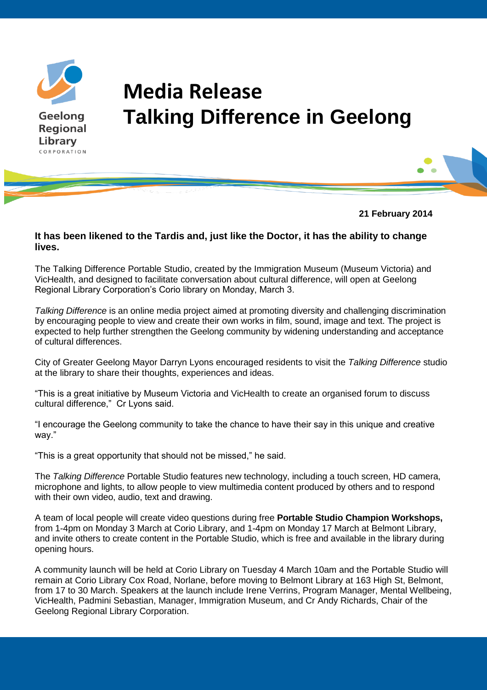

## **Media Release Talking Difference in Geelong**



## **It has been likened to the Tardis and, just like the Doctor, it has the ability to change lives.**

The Talking Difference Portable Studio, created by the Immigration Museum (Museum Victoria) and VicHealth, and designed to facilitate conversation about cultural difference, will open at Geelong Regional Library Corporation's Corio library on Monday, March 3.

*Talking Difference* is an online media project aimed at promoting diversity and challenging discrimination by encouraging people to view and create their own works in film, sound, image and text. The project is expected to help further strengthen the Geelong community by widening understanding and acceptance of cultural differences.

City of Greater Geelong Mayor Darryn Lyons encouraged residents to visit the *Talking Difference* studio at the library to share their thoughts, experiences and ideas.

"This is a great initiative by Museum Victoria and VicHealth to create an organised forum to discuss cultural difference," Cr Lyons said.

"I encourage the Geelong community to take the chance to have their say in this unique and creative way."

"This is a great opportunity that should not be missed," he said.

The *Talking Difference* Portable Studio features new technology, including a touch screen, HD camera, microphone and lights, to allow people to view multimedia content produced by others and to respond with their own video, audio, text and drawing.

A team of local people will create video questions during free **Portable Studio Champion Workshops,** from 1-4pm on Monday 3 March at Corio Library, and 1-4pm on Monday 17 March at Belmont Library, and invite others to create content in the Portable Studio, which is free and available in the library during opening hours.

A community launch will be held at Corio Library on Tuesday 4 March 10am and the Portable Studio will remain at Corio Library Cox Road, Norlane, before moving to Belmont Library at 163 High St, Belmont, from 17 to 30 March. Speakers at the launch include Irene Verrins, Program Manager, Mental Wellbeing, VicHealth, Padmini Sebastian, Manager, Immigration Museum, and Cr Andy Richards, Chair of the Geelong Regional Library Corporation.